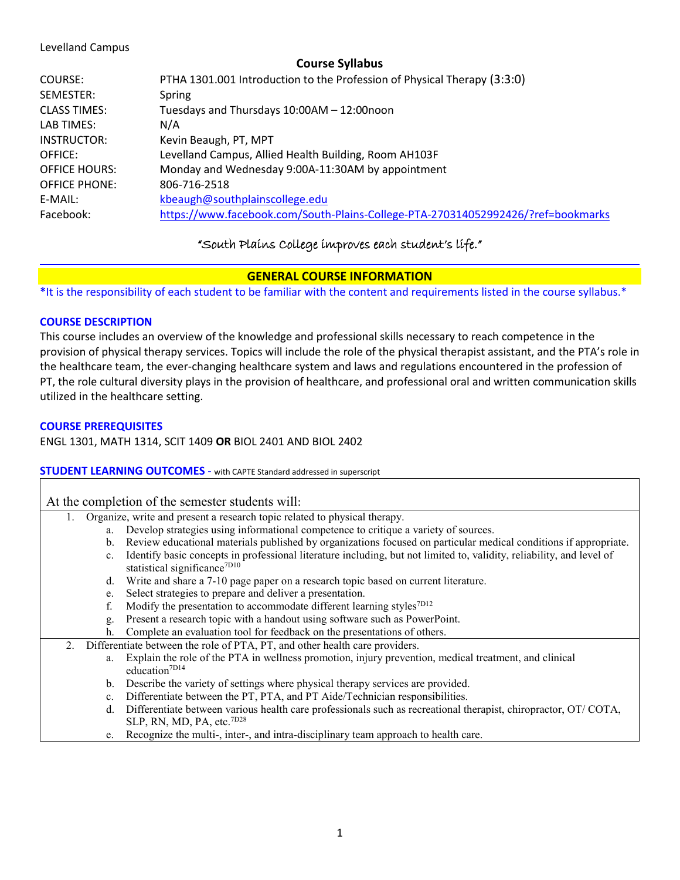#### Levelland Campus

## **Course Syllabus**

| COURSE:              | PTHA 1301.001 Introduction to the Profession of Physical Therapy (3:3:0)         |
|----------------------|----------------------------------------------------------------------------------|
| SEMESTER:            | Spring                                                                           |
| <b>CLASS TIMES:</b>  | Tuesdays and Thursdays 10:00AM - 12:00noon                                       |
| LAB TIMES:           | N/A                                                                              |
| <b>INSTRUCTOR:</b>   | Kevin Beaugh, PT, MPT                                                            |
| OFFICE:              | Levelland Campus, Allied Health Building, Room AH103F                            |
| <b>OFFICE HOURS:</b> | Monday and Wednesday 9:00A-11:30AM by appointment                                |
| <b>OFFICE PHONE:</b> | 806-716-2518                                                                     |
| E-MAIL:              | kbeaugh@southplainscollege.edu                                                   |
| Facebook:            | https://www.facebook.com/South-Plains-College-PTA-270314052992426/?ref=bookmarks |

## "South Plains College improves each student's life."

## **GENERAL COURSE INFORMATION**

**\***It is the responsibility of each student to be familiar with the content and requirements listed in the course syllabus.\*

#### **COURSE DESCRIPTION**

This course includes an overview of the knowledge and professional skills necessary to reach competence in the provision of physical therapy services. Topics will include the role of the physical therapist assistant, and the PTA's role in the healthcare team, the ever-changing healthcare system and laws and regulations encountered in the profession of PT, the role cultural diversity plays in the provision of healthcare, and professional oral and written communication skills utilized in the healthcare setting.

#### **COURSE PREREQUISITES**

ENGL 1301, MATH 1314, SCIT 1409 **OR** BIOL 2401 AND BIOL 2402

#### **STUDENT LEARNING OUTCOMES** - with CAPTE Standard addressed in superscript

| At the completion of the semester students will: |  |  |  |  |
|--------------------------------------------------|--|--|--|--|
|--------------------------------------------------|--|--|--|--|

- 1. Organize, write and present a research topic related to physical therapy.
	- a. Develop strategies using informational competence to critique a variety of sources.
	- b. Review educational materials published by organizations focused on particular medical conditions if appropriate.
	- c. Identify basic concepts in professional literature including, but not limited to, validity, reliability, and level of statistical significance<sup>7D10</sup>
	- d. Write and share a 7-10 page paper on a research topic based on current literature.
	- e. Select strategies to prepare and deliver a presentation.
	- f. Modify the presentation to accommodate different learning styles<sup>7D12</sup>
	- g. Present a research topic with a handout using software such as PowerPoint.
	- h. Complete an evaluation tool for feedback on the presentations of others.
- 2. Differentiate between the role of PTA, PT, and other health care providers.
	- a. Explain the role of the PTA in wellness promotion, injury prevention, medical treatment, and clinical education<sup>7D14</sup>
	- b. Describe the variety of settings where physical therapy services are provided.
	- c. Differentiate between the PT, PTA, and PT Aide/Technician responsibilities.
	- d. Differentiate between various health care professionals such as recreational therapist, chiropractor, OT/ COTA, SLP, RN, MD, PA, etc.7D28
	- e. Recognize the multi-, inter-, and intra-disciplinary team approach to health care.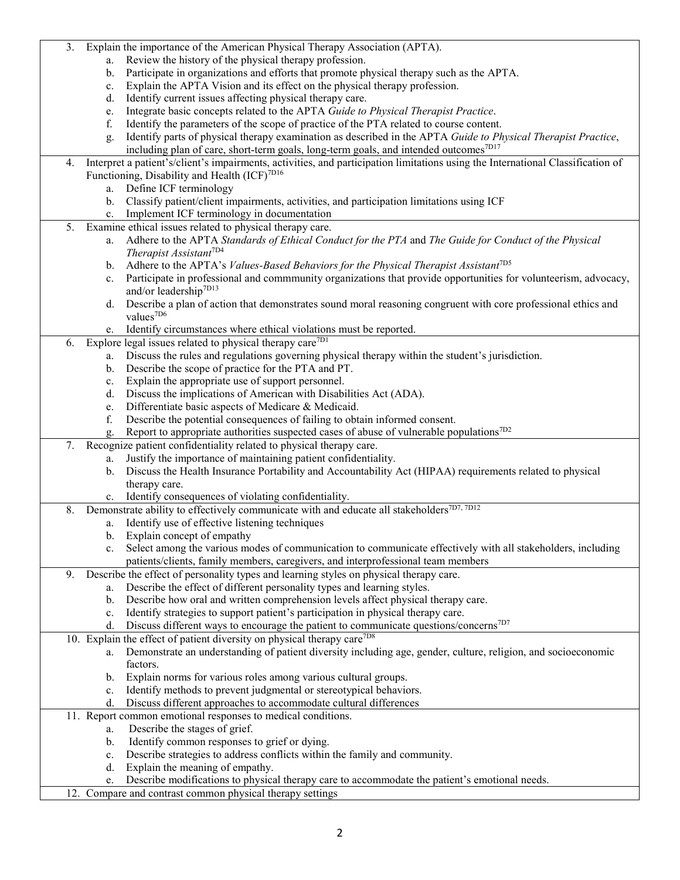| 3. |                | Explain the importance of the American Physical Therapy Association (APTA).                                                                  |
|----|----------------|----------------------------------------------------------------------------------------------------------------------------------------------|
|    | a.             | Review the history of the physical therapy profession.                                                                                       |
|    | b.             | Participate in organizations and efforts that promote physical therapy such as the APTA.                                                     |
|    | $c_{\cdot}$    | Explain the APTA Vision and its effect on the physical therapy profession.                                                                   |
|    | d.             | Identify current issues affecting physical therapy care.                                                                                     |
|    | e.             | Integrate basic concepts related to the APTA Guide to Physical Therapist Practice.                                                           |
|    | f.             | Identify the parameters of the scope of practice of the PTA related to course content.                                                       |
|    | g.             | Identify parts of physical therapy examination as described in the APTA Guide to Physical Therapist Practice,                                |
|    |                | including plan of care, short-term goals, long-term goals, and intended outcomes <sup>7D17</sup>                                             |
| 4. |                | Interpret a patient's/client's impairments, activities, and participation limitations using the International Classification of              |
|    |                | Functioning, Disability and Health (ICF) <sup>7D16</sup>                                                                                     |
|    |                | a. Define ICF terminology                                                                                                                    |
|    | $\mathbf{b}$ . | Classify patient/client impairments, activities, and participation limitations using ICF                                                     |
|    | c.             | Implement ICF terminology in documentation                                                                                                   |
| 5. |                | Examine ethical issues related to physical therapy care.                                                                                     |
|    | a.             | Adhere to the APTA Standards of Ethical Conduct for the PTA and The Guide for Conduct of the Physical                                        |
|    |                | Therapist Assistant <sup>7D4</sup>                                                                                                           |
|    | $\mathbf{b}$ . | Adhere to the APTA's Values-Based Behaviors for the Physical Therapist Assistant <sup>7D5</sup>                                              |
|    | c.             | Participate in professional and commmunity organizations that provide opportunities for volunteerism, advocacy,                              |
|    |                | and/or leadership <sup>7D13</sup>                                                                                                            |
|    | d.             | Describe a plan of action that demonstrates sound moral reasoning congruent with core professional ethics and                                |
|    |                | values <sup>7D6</sup>                                                                                                                        |
|    |                | e. Identify circumstances where ethical violations must be reported.                                                                         |
| 6. |                | Explore legal issues related to physical therapy care <sup>7D1</sup>                                                                         |
|    |                | a. Discuss the rules and regulations governing physical therapy within the student's jurisdiction.                                           |
|    | b.             | Describe the scope of practice for the PTA and PT.                                                                                           |
|    |                |                                                                                                                                              |
|    | c.             | Explain the appropriate use of support personnel.                                                                                            |
|    | d.             | Discuss the implications of American with Disabilities Act (ADA).                                                                            |
|    | e.             | Differentiate basic aspects of Medicare & Medicaid.                                                                                          |
|    | f.             | Describe the potential consequences of failing to obtain informed consent.                                                                   |
|    |                | Report to appropriate authorities suspected cases of abuse of vulnerable populations <sup>7D2</sup>                                          |
| 7. |                | Recognize patient confidentiality related to physical therapy care.                                                                          |
|    | a.             | Justify the importance of maintaining patient confidentiality.                                                                               |
|    | $\mathbf{b}$ . | Discuss the Health Insurance Portability and Accountability Act (HIPAA) requirements related to physical                                     |
|    |                | therapy care.                                                                                                                                |
|    | c.             | Identify consequences of violating confidentiality.                                                                                          |
| 8. |                | Demonstrate ability to effectively communicate with and educate all stakeholders <sup>7D7, 7D12</sup>                                        |
|    |                | a. Identify use of effective listening techniques                                                                                            |
|    |                | b. Explain concept of empathy                                                                                                                |
|    |                | Select among the various modes of communication to communicate effectively with all stakeholders, including                                  |
|    |                | patients/clients, family members, caregivers, and interprofessional team members                                                             |
| 9. |                | Describe the effect of personality types and learning styles on physical therapy care.                                                       |
|    | a.             | Describe the effect of different personality types and learning styles.                                                                      |
|    | b.             | Describe how oral and written comprehension levels affect physical therapy care.                                                             |
|    | $c_{\cdot}$    | Identify strategies to support patient's participation in physical therapy care.                                                             |
|    |                | d. Discuss different ways to encourage the patient to communicate questions/concerns <sup>7D7</sup>                                          |
|    |                | 10. Explain the effect of patient diversity on physical therapy care <sup>7D8</sup>                                                          |
|    | a.             | Demonstrate an understanding of patient diversity including age, gender, culture, religion, and socioeconomic                                |
|    |                | factors.                                                                                                                                     |
|    | b.             | Explain norms for various roles among various cultural groups.                                                                               |
|    |                | c. Identify methods to prevent judgmental or stereotypical behaviors.<br>d. Discuss different approaches to accommodate cultural differences |
|    |                |                                                                                                                                              |
|    |                | 11. Report common emotional responses to medical conditions.<br>Describe the stages of grief.                                                |
|    | a.<br>b.       | Identify common responses to grief or dying.                                                                                                 |
|    |                |                                                                                                                                              |
|    | c.             | Describe strategies to address conflicts within the family and community.<br>Explain the meaning of empathy.                                 |
|    | d.             |                                                                                                                                              |
|    | e.             | Describe modifications to physical therapy care to accommodate the patient's emotional needs.                                                |
|    |                | 12. Compare and contrast common physical therapy settings                                                                                    |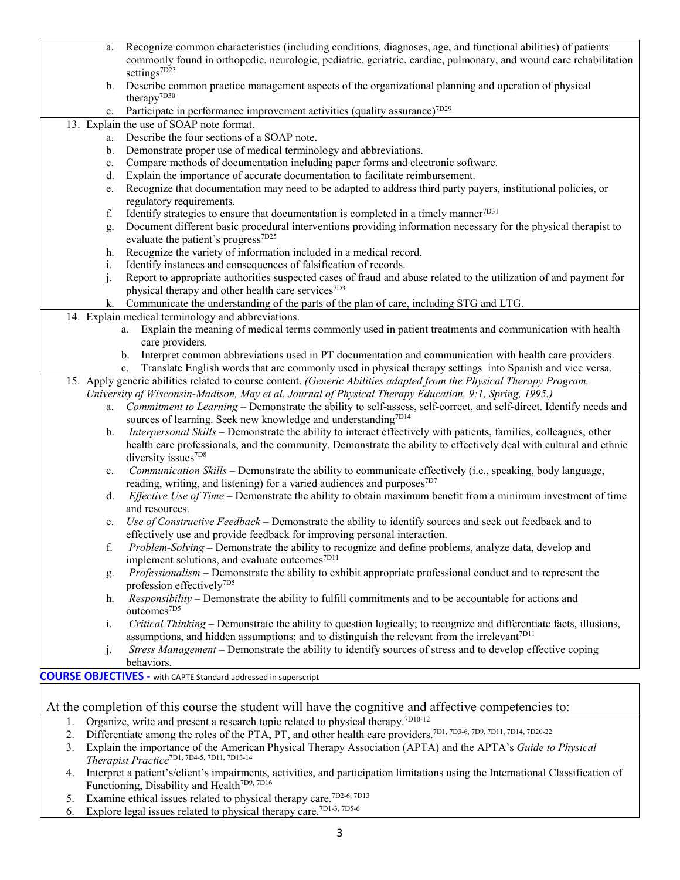| a.             | Recognize common characteristics (including conditions, diagnoses, age, and functional abilities) of patients                   |
|----------------|---------------------------------------------------------------------------------------------------------------------------------|
|                | commonly found in orthopedic, neurologic, pediatric, geriatric, cardiac, pulmonary, and wound care rehabilitation               |
|                | settings <sup>7D23</sup>                                                                                                        |
| b.             | Describe common practice management aspects of the organizational planning and operation of physical                            |
|                | therapy <sup>7D30</sup>                                                                                                         |
| c.             | Participate in performance improvement activities (quality assurance) <sup>7D29</sup>                                           |
|                | 13. Explain the use of SOAP note format.                                                                                        |
| a.             | Describe the four sections of a SOAP note.                                                                                      |
| $\mathbf{b}$ . | Demonstrate proper use of medical terminology and abbreviations.                                                                |
| c.             | Compare methods of documentation including paper forms and electronic software.                                                 |
| d.             | Explain the importance of accurate documentation to facilitate reimbursement.                                                   |
| e.             | Recognize that documentation may need to be adapted to address third party payers, institutional policies, or                   |
|                | regulatory requirements.                                                                                                        |
| f.             | Identify strategies to ensure that documentation is completed in a timely manner <sup>7D31</sup>                                |
| g.             | Document different basic procedural interventions providing information necessary for the physical therapist to                 |
|                | evaluate the patient's progress <sup>7D25</sup>                                                                                 |
| h.             | Recognize the variety of information included in a medical record.                                                              |
| i.             | Identify instances and consequences of falsification of records.                                                                |
| $\mathbf{i}$ . | Report to appropriate authorities suspected cases of fraud and abuse related to the utilization of and payment for              |
|                | physical therapy and other health care services <sup>7D3</sup>                                                                  |
| k.             | Communicate the understanding of the parts of the plan of care, including STG and LTG.                                          |
|                | 14. Explain medical terminology and abbreviations.                                                                              |
|                | a. Explain the meaning of medical terms commonly used in patient treatments and communication with health                       |
|                | care providers.                                                                                                                 |
|                | b. Interpret common abbreviations used in PT documentation and communication with health care providers.                        |
|                | c. Translate English words that are commonly used in physical therapy settings into Spanish and vice versa.                     |
|                | 15. Apply generic abilities related to course content. (Generic Abilities adapted from the Physical Therapy Program,            |
|                | University of Wisconsin-Madison, May et al. Journal of Physical Therapy Education, 9:1, Spring, 1995.)                          |
| a.             | Commitment to Learning - Demonstrate the ability to self-assess, self-correct, and self-direct. Identify needs and              |
|                | sources of learning. Seek new knowledge and understanding <sup>7D14</sup>                                                       |
| b.             | Interpersonal Skills - Demonstrate the ability to interact effectively with patients, families, colleagues, other               |
|                | health care professionals, and the community. Demonstrate the ability to effectively deal with cultural and ethnic              |
|                | diversity issues <sup>7D8</sup>                                                                                                 |
| c.             | Communication Skills – Demonstrate the ability to communicate effectively (i.e., speaking, body language,                       |
|                | reading, writing, and listening) for a varied audiences and purposes <sup>7D7</sup>                                             |
| d.             | Effective Use of Time - Demonstrate the ability to obtain maximum benefit from a minimum investment of time                     |
|                | and resources.                                                                                                                  |
| e.             | Use of Constructive Feedback – Demonstrate the ability to identify sources and seek out feedback and to                         |
|                | effectively use and provide feedback for improving personal interaction.                                                        |
| f.             | Problem-Solving – Demonstrate the ability to recognize and define problems, analyze data, develop and                           |
|                | implement solutions, and evaluate outcomes <sup>7D11</sup>                                                                      |
| g.             | <i>Professionalism</i> – Demonstrate the ability to exhibit appropriate professional conduct and to represent the               |
|                | profession effectively <sup>7D5</sup>                                                                                           |
| h.             | Responsibility – Demonstrate the ability to fulfill commitments and to be accountable for actions and                           |
|                | outcomes <sup>7D5</sup>                                                                                                         |
| i.             | Critical Thinking – Demonstrate the ability to question logically; to recognize and differentiate facts, illusions,             |
|                | assumptions, and hidden assumptions; and to distinguish the relevant from the irrelevant <sup>7D11</sup>                        |
| $J \cdot$      | Stress Management - Demonstrate the ability to identify sources of stress and to develop effective coping                       |
|                | behaviors.                                                                                                                      |
|                | <b>COURSE OBJECTIVES</b> - with CAPTE Standard addressed in superscript                                                         |
|                |                                                                                                                                 |
|                | At the completion of this course the student will have the cognitive and affective competencies to:                             |
| 1.             | Organize, write and present a research topic related to physical therapy. <sup>7D10-12</sup>                                    |
| 2.             | Differentiate among the roles of the PTA, PT, and other health care providers. <sup>7D1, 7D3-6, 7D9, 7D11, 7D14, 7D20-22</sup>  |
| 3.             | Explain the importance of the American Physical Therapy Association (APTA) and the APTA's Guide to Physical                     |
|                | Therapist Practice <sup>7D1, 7D4-5, 7D11, 7D13-14</sup>                                                                         |
| 4.             | Interpret a patient's/client's impairments, activities, and participation limitations using the International Classification of |
|                | Functioning, Disability and Health <sup>7D9, 7D16</sup>                                                                         |
|                |                                                                                                                                 |

- 5. Examine ethical issues related to physical therapy care.<sup>7D2-6, 7D13</sup>
- 6. Explore legal issues related to physical therapy care.<sup>7D1-3, 7D5-6</sup>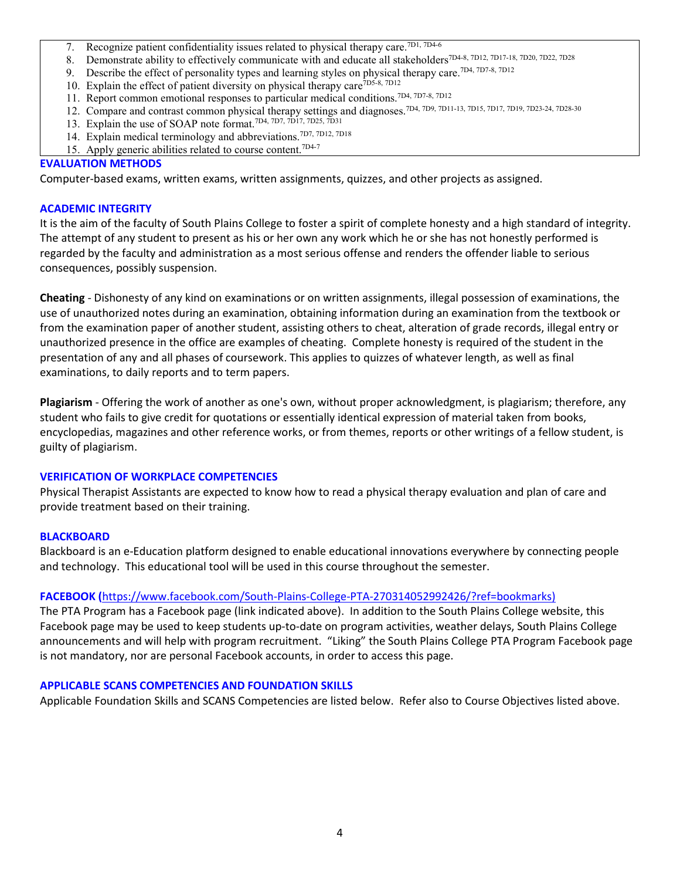- 7. Recognize patient confidentiality issues related to physical therapy care.<sup>7D1, 7D4-6</sup>
- 8. Demonstrate ability to effectively communicate with and educate all stakeholders<sup>7D4-8, 7D12, 7D17-18, 7D20, 7D22, 7D28</sup>
- 9. Describe the effect of personality types and learning styles on physical therapy care.<sup>7D4, 7D7-8, 7D12</sup>
- 10. Explain the effect of patient diversity on physical therapy care<sup>7D5-8, 7D12</sup>
- 11. Report common emotional responses to particular medical conditions.7D4, 7D7-8, 7D12
- 12. Compare and contrast common physical therapy settings and diagnoses.7D4, 7D9, 7D11-13, 7D15, 7D17, 7D19, 7D23-24, 7D28-30
- 13. Explain the use of SOAP note format.<sup>7D4, 7D7, 7D17, 7D25, 7D31</sup>
- 14. Explain medical terminology and abbreviations.7D7, 7D12, 7D18
- 15. Apply generic abilities related to course content.7D4-7

#### **EVALUATION METHODS**

Computer-based exams, written exams, written assignments, quizzes, and other projects as assigned.

#### **ACADEMIC INTEGRITY**

It is the aim of the faculty of South Plains College to foster a spirit of complete honesty and a high standard of integrity. The attempt of any student to present as his or her own any work which he or she has not honestly performed is regarded by the faculty and administration as a most serious offense and renders the offender liable to serious consequences, possibly suspension.

**Cheating** - Dishonesty of any kind on examinations or on written assignments, illegal possession of examinations, the use of unauthorized notes during an examination, obtaining information during an examination from the textbook or from the examination paper of another student, assisting others to cheat, alteration of grade records, illegal entry or unauthorized presence in the office are examples of cheating. Complete honesty is required of the student in the presentation of any and all phases of coursework. This applies to quizzes of whatever length, as well as final examinations, to daily reports and to term papers.

**Plagiarism** - Offering the work of another as one's own, without proper acknowledgment, is plagiarism; therefore, any student who fails to give credit for quotations or essentially identical expression of material taken from books, encyclopedias, magazines and other reference works, or from themes, reports or other writings of a fellow student, is guilty of plagiarism.

#### **VERIFICATION OF WORKPLACE COMPETENCIES**

Physical Therapist Assistants are expected to know how to read a physical therapy evaluation and plan of care and provide treatment based on their training.

#### **BLACKBOARD**

Blackboard is an e-Education platform designed to enable educational innovations everywhere by connecting people and technology. This educational tool will be used in this course throughout the semester.

## **FACEBOOK (**[https://www.facebook.com/South-Plains-College-PTA-270314052992426/?ref=bookmarks\)](https://www.facebook.com/South-Plains-College-PTA-270314052992426/?ref=bookmarks)

The PTA Program has a Facebook page (link indicated above). In addition to the South Plains College website, this Facebook page may be used to keep students up-to-date on program activities, weather delays, South Plains College announcements and will help with program recruitment. "Liking" the South Plains College PTA Program Facebook page is not mandatory, nor are personal Facebook accounts, in order to access this page.

#### **APPLICABLE SCANS COMPETENCIES AND FOUNDATION SKILLS**

Applicable Foundation Skills and SCANS Competencies are listed below. Refer also to Course Objectives listed above.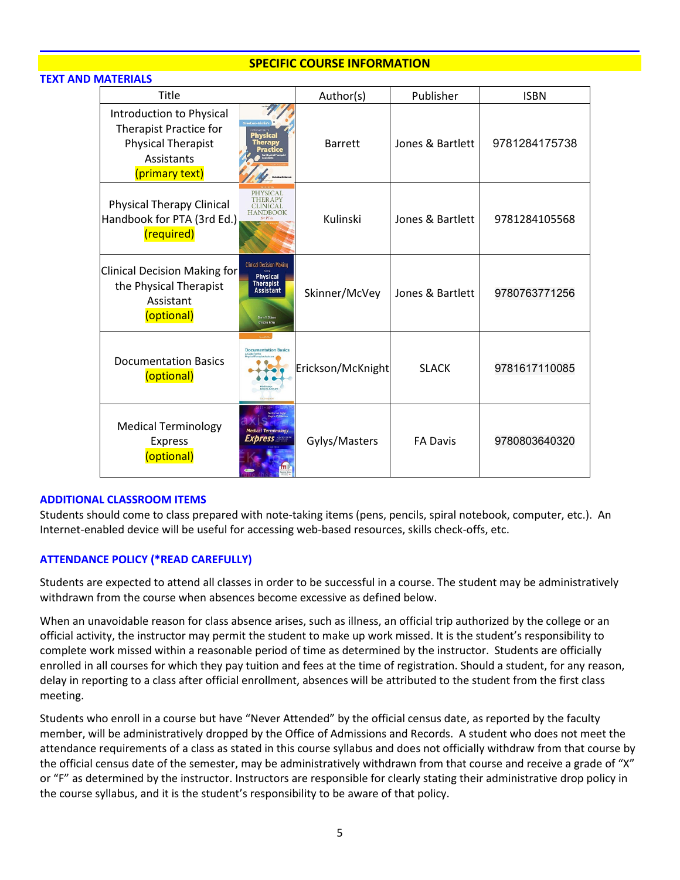## **SPECIFIC COURSE INFORMATION**

#### **TEXT AND MATERIALS**

| Title                                                                                                           |                                                                                                                                            | Author(s)         | Publisher        | <b>ISBN</b>   |
|-----------------------------------------------------------------------------------------------------------------|--------------------------------------------------------------------------------------------------------------------------------------------|-------------------|------------------|---------------|
| Introduction to Physical<br>Therapist Practice for<br><b>Physical Therapist</b><br>Assistants<br>(primary text) | Physica<br><b>Therapy</b>                                                                                                                  | <b>Barrett</b>    | Jones & Bartlett | 9781284175738 |
| <b>Physical Therapy Clinical</b><br>Handbook for PTA (3rd Ed.)<br>(required)                                    | PHYSICAL<br><b>THERAPY</b><br><b>CLINICAL</b><br><b>HANDBOOK</b>                                                                           | Kulinski          | Jones & Bartlett | 9781284105568 |
| <b>Clinical Decision Making for</b><br>the Physical Therapist<br>Assistant<br>(optional)                        | <b>Clinical Decision Making</b><br><b>Physical</b><br><b>Therapist</b><br><b>Assistant</b><br><b>Irves &amp; Scient</b><br>Christina Moley | Skinner/McVey     | Jones & Bartlett | 9780763771256 |
| <b>Documentation Basics</b><br>(optional)                                                                       | <b>Documentation Basics</b>                                                                                                                | Erickson/McKnight | <b>SLACK</b>     | 9781617110085 |
| <b>Medical Terminology</b><br><b>Express</b><br>(optional)                                                      | <b>Medical Terminology</b><br><i><b>Exbress</b></i>                                                                                        | Gylys/Masters     | <b>FA Davis</b>  | 9780803640320 |

#### **ADDITIONAL CLASSROOM ITEMS**

Students should come to class prepared with note-taking items (pens, pencils, spiral notebook, computer, etc.). An Internet-enabled device will be useful for accessing web-based resources, skills check-offs, etc.

## **ATTENDANCE POLICY (\*READ CAREFULLY)**

Students are expected to attend all classes in order to be successful in a course. The student may be administratively withdrawn from the course when absences become excessive as defined below.

When an unavoidable reason for class absence arises, such as illness, an official trip authorized by the college or an official activity, the instructor may permit the student to make up work missed. It is the student's responsibility to complete work missed within a reasonable period of time as determined by the instructor. Students are officially enrolled in all courses for which they pay tuition and fees at the time of registration. Should a student, for any reason, delay in reporting to a class after official enrollment, absences will be attributed to the student from the first class meeting.

Students who enroll in a course but have "Never Attended" by the official census date, as reported by the faculty member, will be administratively dropped by the Office of Admissions and Records. A student who does not meet the attendance requirements of a class as stated in this course syllabus and does not officially withdraw from that course by the official census date of the semester, may be administratively withdrawn from that course and receive a grade of "X" or "F" as determined by the instructor. Instructors are responsible for clearly stating their administrative drop policy in the course syllabus, and it is the student's responsibility to be aware of that policy.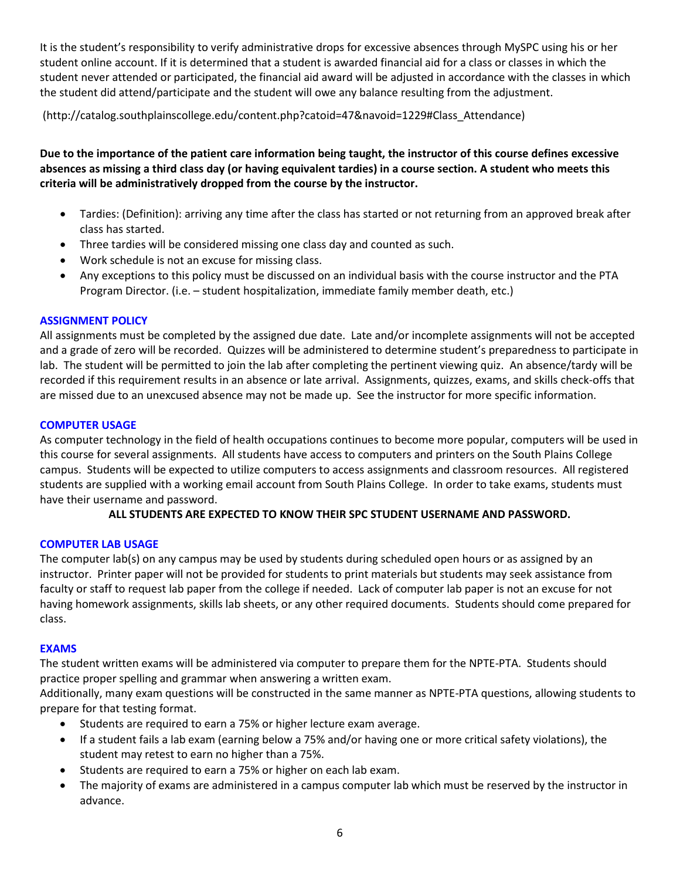It is the student's responsibility to verify administrative drops for excessive absences through MySPC using his or her student online account. If it is determined that a student is awarded financial aid for a class or classes in which the student never attended or participated, the financial aid award will be adjusted in accordance with the classes in which the student did attend/participate and the student will owe any balance resulting from the adjustment.

(http://catalog.southplainscollege.edu/content.php?catoid=47&navoid=1229#Class\_Attendance)

**Due to the importance of the patient care information being taught, the instructor of this course defines excessive absences as missing a third class day (or having equivalent tardies) in a course section. A student who meets this criteria will be administratively dropped from the course by the instructor.**

- Tardies: (Definition): arriving any time after the class has started or not returning from an approved break after class has started.
- Three tardies will be considered missing one class day and counted as such.
- Work schedule is not an excuse for missing class.
- Any exceptions to this policy must be discussed on an individual basis with the course instructor and the PTA Program Director. (i.e. – student hospitalization, immediate family member death, etc.)

## **ASSIGNMENT POLICY**

All assignments must be completed by the assigned due date. Late and/or incomplete assignments will not be accepted and a grade of zero will be recorded. Quizzes will be administered to determine student's preparedness to participate in lab. The student will be permitted to join the lab after completing the pertinent viewing quiz. An absence/tardy will be recorded if this requirement results in an absence or late arrival. Assignments, quizzes, exams, and skills check-offs that are missed due to an unexcused absence may not be made up. See the instructor for more specific information.

## **COMPUTER USAGE**

As computer technology in the field of health occupations continues to become more popular, computers will be used in this course for several assignments. All students have access to computers and printers on the South Plains College campus. Students will be expected to utilize computers to access assignments and classroom resources. All registered students are supplied with a working email account from South Plains College. In order to take exams, students must have their username and password.

## **ALL STUDENTS ARE EXPECTED TO KNOW THEIR SPC STUDENT USERNAME AND PASSWORD.**

## **COMPUTER LAB USAGE**

The computer lab(s) on any campus may be used by students during scheduled open hours or as assigned by an instructor. Printer paper will not be provided for students to print materials but students may seek assistance from faculty or staff to request lab paper from the college if needed. Lack of computer lab paper is not an excuse for not having homework assignments, skills lab sheets, or any other required documents. Students should come prepared for class.

## **EXAMS**

The student written exams will be administered via computer to prepare them for the NPTE-PTA. Students should practice proper spelling and grammar when answering a written exam.

Additionally, many exam questions will be constructed in the same manner as NPTE-PTA questions, allowing students to prepare for that testing format.

- Students are required to earn a 75% or higher lecture exam average.
- If a student fails a lab exam (earning below a 75% and/or having one or more critical safety violations), the student may retest to earn no higher than a 75%.
- Students are required to earn a 75% or higher on each lab exam.
- The majority of exams are administered in a campus computer lab which must be reserved by the instructor in advance.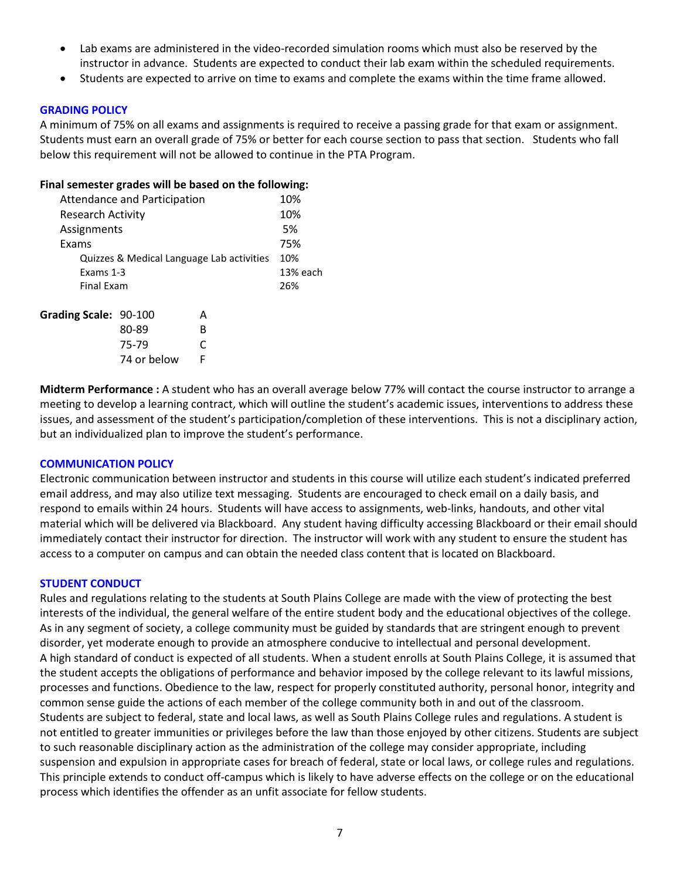- Lab exams are administered in the video-recorded simulation rooms which must also be reserved by the instructor in advance. Students are expected to conduct their lab exam within the scheduled requirements.
- Students are expected to arrive on time to exams and complete the exams within the time frame allowed.

## **GRADING POLICY**

A minimum of 75% on all exams and assignments is required to receive a passing grade for that exam or assignment. Students must earn an overall grade of 75% or better for each course section to pass that section. Students who fall below this requirement will not be allowed to continue in the PTA Program.

#### **Final semester grades will be based on the following:**

|                          | <b>Attendance and Participation</b> |                                           | 10%      |
|--------------------------|-------------------------------------|-------------------------------------------|----------|
| <b>Research Activity</b> |                                     |                                           | 10%      |
| Assignments              |                                     |                                           | 5%       |
| Exams                    |                                     |                                           | 75%      |
|                          |                                     | Quizzes & Medical Language Lab activities | 10%      |
| Exams 1-3                |                                     |                                           | 13% each |
| Final Exam               |                                     |                                           | 26%      |
| Grading Scale: 90-100    |                                     | А                                         |          |
|                          | 80-89                               | в                                         |          |
|                          | 75-79                               |                                           |          |
|                          |                                     |                                           |          |

74 or below F

**Midterm Performance :** A student who has an overall average below 77% will contact the course instructor to arrange a meeting to develop a learning contract, which will outline the student's academic issues, interventions to address these issues, and assessment of the student's participation/completion of these interventions. This is not a disciplinary action, but an individualized plan to improve the student's performance.

#### **COMMUNICATION POLICY**

Electronic communication between instructor and students in this course will utilize each student's indicated preferred email address, and may also utilize text messaging. Students are encouraged to check email on a daily basis, and respond to emails within 24 hours. Students will have access to assignments, web-links, handouts, and other vital material which will be delivered via Blackboard. Any student having difficulty accessing Blackboard or their email should immediately contact their instructor for direction. The instructor will work with any student to ensure the student has access to a computer on campus and can obtain the needed class content that is located on Blackboard.

#### **STUDENT CONDUCT**

Rules and regulations relating to the students at South Plains College are made with the view of protecting the best interests of the individual, the general welfare of the entire student body and the educational objectives of the college. As in any segment of society, a college community must be guided by standards that are stringent enough to prevent disorder, yet moderate enough to provide an atmosphere conducive to intellectual and personal development. A high standard of conduct is expected of all students. When a student enrolls at South Plains College, it is assumed that the student accepts the obligations of performance and behavior imposed by the college relevant to its lawful missions, processes and functions. Obedience to the law, respect for properly constituted authority, personal honor, integrity and common sense guide the actions of each member of the college community both in and out of the classroom. Students are subject to federal, state and local laws, as well as South Plains College rules and regulations. A student is not entitled to greater immunities or privileges before the law than those enjoyed by other citizens. Students are subject to such reasonable disciplinary action as the administration of the college may consider appropriate, including suspension and expulsion in appropriate cases for breach of federal, state or local laws, or college rules and regulations. This principle extends to conduct off-campus which is likely to have adverse effects on the college or on the educational process which identifies the offender as an unfit associate for fellow students.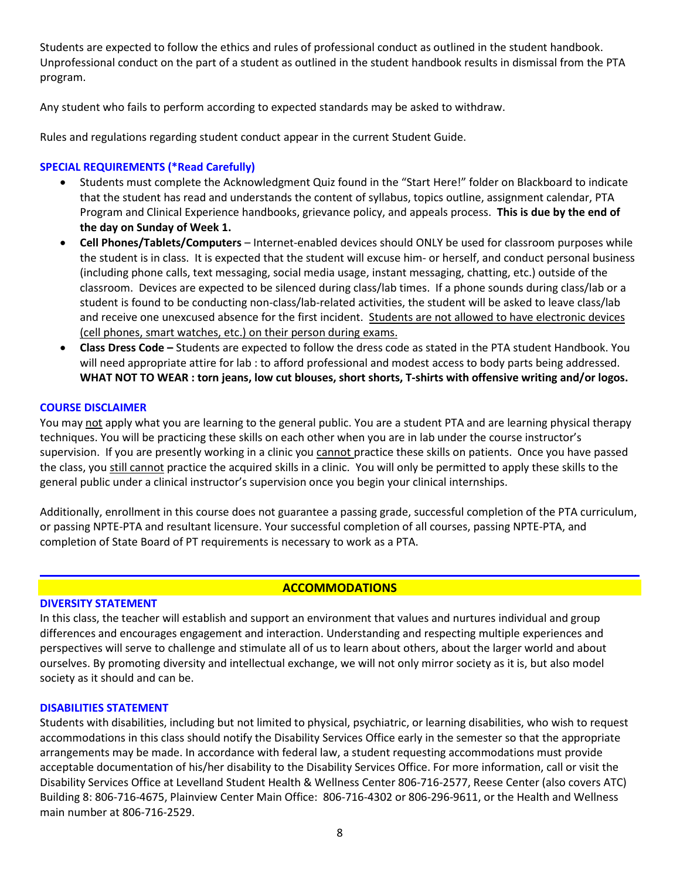Students are expected to follow the ethics and rules of professional conduct as outlined in the student handbook. Unprofessional conduct on the part of a student as outlined in the student handbook results in dismissal from the PTA program.

Any student who fails to perform according to expected standards may be asked to withdraw.

Rules and regulations regarding student conduct appear in the current Student Guide.

## **SPECIAL REQUIREMENTS (\*Read Carefully)**

- Students must complete the Acknowledgment Quiz found in the "Start Here!" folder on Blackboard to indicate that the student has read and understands the content of syllabus, topics outline, assignment calendar, PTA Program and Clinical Experience handbooks, grievance policy, and appeals process. **This is due by the end of the day on Sunday of Week 1.**
- **Cell Phones/Tablets/Computers** Internet-enabled devices should ONLY be used for classroom purposes while the student is in class. It is expected that the student will excuse him- or herself, and conduct personal business (including phone calls, text messaging, social media usage, instant messaging, chatting, etc.) outside of the classroom. Devices are expected to be silenced during class/lab times. If a phone sounds during class/lab or a student is found to be conducting non-class/lab-related activities, the student will be asked to leave class/lab and receive one unexcused absence for the first incident. Students are not allowed to have electronic devices (cell phones, smart watches, etc.) on their person during exams.
- **Class Dress Code –** Students are expected to follow the dress code as stated in the PTA student Handbook. You will need appropriate attire for lab : to afford professional and modest access to body parts being addressed. **WHAT NOT TO WEAR : torn jeans, low cut blouses, short shorts, T-shirts with offensive writing and/or logos.**

## **COURSE DISCLAIMER**

You may not apply what you are learning to the general public. You are a student PTA and are learning physical therapy techniques. You will be practicing these skills on each other when you are in lab under the course instructor's supervision. If you are presently working in a clinic you cannot practice these skills on patients. Once you have passed the class, you still cannot practice the acquired skills in a clinic. You will only be permitted to apply these skills to the general public under a clinical instructor's supervision once you begin your clinical internships.

Additionally, enrollment in this course does not guarantee a passing grade, successful completion of the PTA curriculum, or passing NPTE-PTA and resultant licensure. Your successful completion of all courses, passing NPTE-PTA, and completion of State Board of PT requirements is necessary to work as a PTA.

## **ACCOMMODATIONS**

## **DIVERSITY STATEMENT**

In this class, the teacher will establish and support an environment that values and nurtures individual and group differences and encourages engagement and interaction. Understanding and respecting multiple experiences and perspectives will serve to challenge and stimulate all of us to learn about others, about the larger world and about ourselves. By promoting diversity and intellectual exchange, we will not only mirror society as it is, but also model society as it should and can be.

#### **DISABILITIES STATEMENT**

Students with disabilities, including but not limited to physical, psychiatric, or learning disabilities, who wish to request accommodations in this class should notify the Disability Services Office early in the semester so that the appropriate arrangements may be made. In accordance with federal law, a student requesting accommodations must provide acceptable documentation of his/her disability to the Disability Services Office. For more information, call or visit the Disability Services Office at Levelland Student Health & Wellness Center 806-716-2577, Reese Center (also covers ATC) Building 8: 806-716-4675, Plainview Center Main Office: 806-716-4302 or 806-296-9611, or the Health and Wellness main number at 806-716-2529.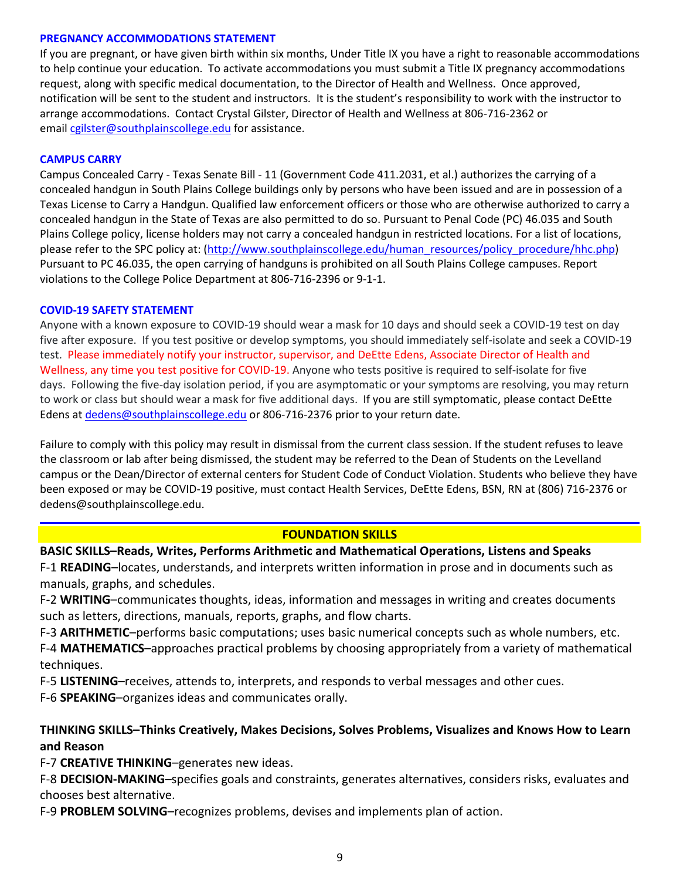#### **PREGNANCY ACCOMMODATIONS STATEMENT**

If you are pregnant, or have given birth within six months, Under Title IX you have a right to reasonable accommodations to help continue your education. To activate accommodations you must submit a Title IX pregnancy accommodations request, along with specific medical documentation, to the Director of Health and Wellness. Once approved, notification will be sent to the student and instructors. It is the student's responsibility to work with the instructor to arrange accommodations. Contact Crystal Gilster, Director of Health and Wellness at 806-716-2362 or email [cgilster@southplainscollege.edu](mailto:cgilster@southplainscollege.edu) for assistance.

## **CAMPUS CARRY**

Campus Concealed Carry - Texas Senate Bill - 11 (Government Code 411.2031, et al.) authorizes the carrying of a concealed handgun in South Plains College buildings only by persons who have been issued and are in possession of a Texas License to Carry a Handgun. Qualified law enforcement officers or those who are otherwise authorized to carry a concealed handgun in the State of Texas are also permitted to do so. Pursuant to Penal Code (PC) 46.035 and South Plains College policy, license holders may not carry a concealed handgun in restricted locations. For a list of locations, please refer to the SPC policy at: [\(http://www.southplainscollege.edu/human\\_resources/policy\\_procedure/hhc.php\)](http://www.southplainscollege.edu/human_resources/policy_procedure/hhc.php) Pursuant to PC 46.035, the open carrying of handguns is prohibited on all South Plains College campuses. Report violations to the College Police Department at 806-716-2396 or 9-1-1.

#### **COVID-19 SAFETY STATEMENT**

Anyone with a known exposure to COVID-19 should wear a mask for 10 days and should seek a COVID-19 test on day five after exposure. If you test positive or develop symptoms, you should immediately self-isolate and seek a COVID-19 test. Please immediately notify your instructor, supervisor, and DeEtte Edens, Associate Director of Health and Wellness, any time you test positive for COVID-19. Anyone who tests positive is required to self-isolate for five days. Following the five-day isolation period, if you are asymptomatic or your symptoms are resolving, you may return to work or class but should wear a mask for five additional days. If you are still symptomatic, please contact DeEtte Edens a[t dedens@southplainscollege.edu](mailto:dedens@southplainscollege.edu) or 806-716-2376 prior to your return date.

Failure to comply with this policy may result in dismissal from the current class session. If the student refuses to leave the classroom or lab after being dismissed, the student may be referred to the Dean of Students on the Levelland campus or the Dean/Director of external centers for Student Code of Conduct Violation. Students who believe they have been exposed or may be COVID-19 positive, must contact Health Services, DeEtte Edens, BSN, RN at (806) 716-2376 or dedens@southplainscollege.edu.

## **FOUNDATION SKILLS**

## **BASIC SKILLS–Reads, Writes, Performs Arithmetic and Mathematical Operations, Listens and Speaks**

F-1 **READING**–locates, understands, and interprets written information in prose and in documents such as manuals, graphs, and schedules.

F-2 **WRITING**–communicates thoughts, ideas, information and messages in writing and creates documents such as letters, directions, manuals, reports, graphs, and flow charts.

F-3 **ARITHMETIC**–performs basic computations; uses basic numerical concepts such as whole numbers, etc.

F-4 **MATHEMATICS**–approaches practical problems by choosing appropriately from a variety of mathematical techniques.

F-5 **LISTENING**–receives, attends to, interprets, and responds to verbal messages and other cues.

F-6 **SPEAKING**–organizes ideas and communicates orally.

## **THINKING SKILLS–Thinks Creatively, Makes Decisions, Solves Problems, Visualizes and Knows How to Learn and Reason**

F-7 **CREATIVE THINKING**–generates new ideas.

F-8 **DECISION-MAKING**–specifies goals and constraints, generates alternatives, considers risks, evaluates and chooses best alternative.

F-9 **PROBLEM SOLVING**–recognizes problems, devises and implements plan of action.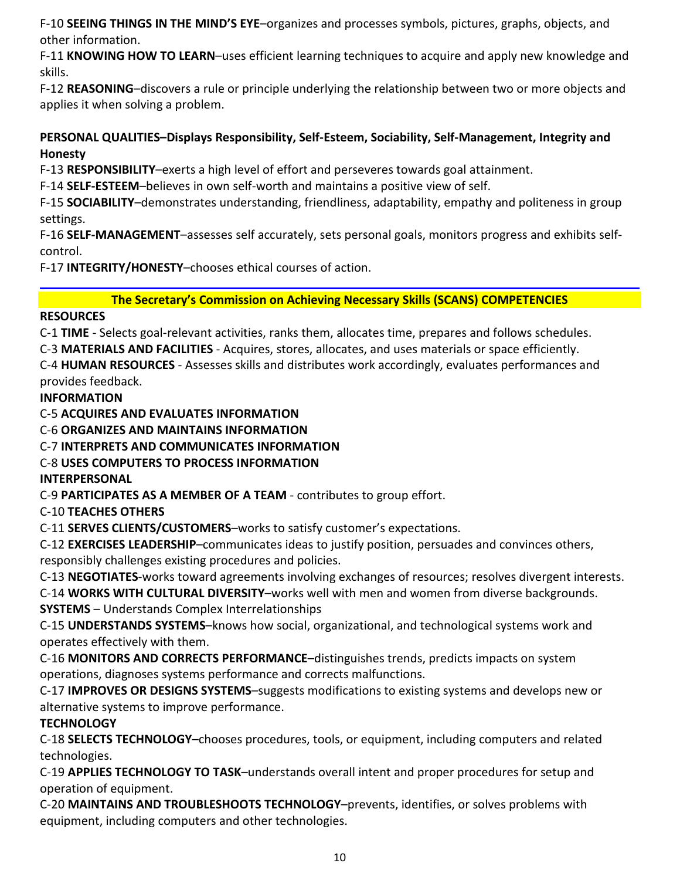F-10 **SEEING THINGS IN THE MIND'S EYE**–organizes and processes symbols, pictures, graphs, objects, and other information.

F-11 **KNOWING HOW TO LEARN**–uses efficient learning techniques to acquire and apply new knowledge and skills.

F-12 **REASONING**–discovers a rule or principle underlying the relationship between two or more objects and applies it when solving a problem.

# **PERSONAL QUALITIES–Displays Responsibility, Self-Esteem, Sociability, Self-Management, Integrity and Honesty**

F-13 **RESPONSIBILITY**–exerts a high level of effort and perseveres towards goal attainment.

F-14 **SELF-ESTEEM**–believes in own self-worth and maintains a positive view of self.

F-15 **SOCIABILITY**–demonstrates understanding, friendliness, adaptability, empathy and politeness in group settings.

F-16 **SELF-MANAGEMENT**–assesses self accurately, sets personal goals, monitors progress and exhibits selfcontrol.

F-17 **INTEGRITY/HONESTY**–chooses ethical courses of action.

**The Secretary's Commission on Achieving Necessary Skills (SCANS) COMPETENCIES**

# **RESOURCES**

C-1 **TIME** - Selects goal-relevant activities, ranks them, allocates time, prepares and follows schedules.

C-3 **MATERIALS AND FACILITIES** - Acquires, stores, allocates, and uses materials or space efficiently.

C-4 **HUMAN RESOURCES** - Assesses skills and distributes work accordingly, evaluates performances and provides feedback.

**INFORMATION**

C-5 **ACQUIRES AND EVALUATES INFORMATION**

C-6 **ORGANIZES AND MAINTAINS INFORMATION**

C-7 **INTERPRETS AND COMMUNICATES INFORMATION**

# C-8 **USES COMPUTERS TO PROCESS INFORMATION**

**INTERPERSONAL**

C-9 **PARTICIPATES AS A MEMBER OF A TEAM** - contributes to group effort.

C-10 **TEACHES OTHERS**

C-11 **SERVES CLIENTS/CUSTOMERS**–works to satisfy customer's expectations.

C-12 **EXERCISES LEADERSHIP**–communicates ideas to justify position, persuades and convinces others, responsibly challenges existing procedures and policies.

C-13 **NEGOTIATES**-works toward agreements involving exchanges of resources; resolves divergent interests.

C-14 **WORKS WITH CULTURAL DIVERSITY**–works well with men and women from diverse backgrounds. **SYSTEMS** – Understands Complex Interrelationships

C-15 **UNDERSTANDS SYSTEMS**–knows how social, organizational, and technological systems work and operates effectively with them.

C-16 **MONITORS AND CORRECTS PERFORMANCE**–distinguishes trends, predicts impacts on system operations, diagnoses systems performance and corrects malfunctions.

C-17 **IMPROVES OR DESIGNS SYSTEMS**–suggests modifications to existing systems and develops new or alternative systems to improve performance.

# **TECHNOLOGY**

C-18 **SELECTS TECHNOLOGY**–chooses procedures, tools, or equipment, including computers and related technologies.

C-19 **APPLIES TECHNOLOGY TO TASK**–understands overall intent and proper procedures for setup and operation of equipment.

C-20 **MAINTAINS AND TROUBLESHOOTS TECHNOLOGY**–prevents, identifies, or solves problems with equipment, including computers and other technologies.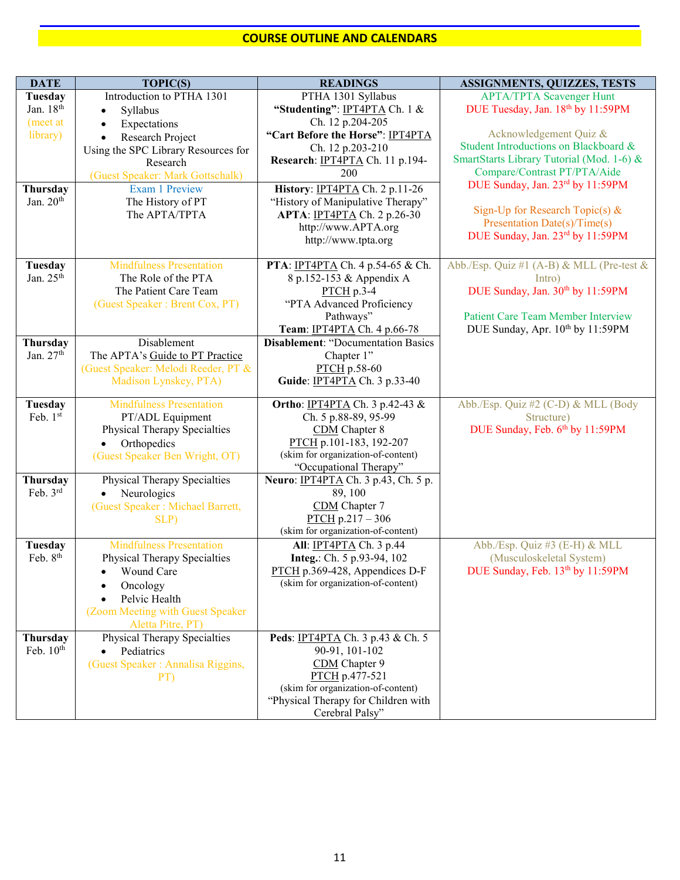## **COURSE OUTLINE AND CALENDARS**

| <b>DATE</b>           | <b>TOPIC(S)</b>                                            | <b>READINGS</b>                                                           | <b>ASSIGNMENTS, QUIZZES, TESTS</b>        |
|-----------------------|------------------------------------------------------------|---------------------------------------------------------------------------|-------------------------------------------|
| Tuesday               | Introduction to PTHA 1301                                  | PTHA 1301 Syllabus                                                        | <b>APTA/TPTA Scavenger Hunt</b>           |
| Jan. 18 <sup>th</sup> | Syllabus<br>$\bullet$                                      | "Studenting": IPT4PTA Ch. 1 &                                             | DUE Tuesday, Jan. 18th by 11:59PM         |
| (meet at              | Expectations<br>$\bullet$                                  | Ch. 12 p.204-205                                                          |                                           |
| library)              | Research Project<br>$\bullet$                              | "Cart Before the Horse": IPT4PTA                                          | Acknowledgement Quiz &                    |
|                       | Using the SPC Library Resources for                        | Ch. 12 p.203-210                                                          | Student Introductions on Blackboard &     |
|                       | Research                                                   | Research: IPT4PTA Ch. 11 p.194-                                           | SmartStarts Library Tutorial (Mod. 1-6) & |
|                       | (Guest Speaker: Mark Gottschalk)                           | 200                                                                       | Compare/Contrast PT/PTA/Aide              |
| Thursday              | <b>Exam 1 Preview</b>                                      | History: IPT4PTA Ch. 2 p.11-26                                            | DUE Sunday, Jan. 23rd by 11:59PM          |
| Jan. 20th             | The History of PT                                          | "History of Manipulative Therapy"                                         | Sign-Up for Research Topic(s) $&$         |
|                       | The APTA/TPTA                                              | APTA: IPT4PTA Ch. 2 p.26-30                                               | Presentation Date(s)/Time(s)              |
|                       |                                                            | http://www.APTA.org                                                       | DUE Sunday, Jan. 23rd by 11:59PM          |
|                       |                                                            | http://www.tpta.org                                                       |                                           |
| Tuesday               | <b>Mindfulness Presentation</b>                            | PTA: IPT4PTA Ch. 4 p.54-65 & Ch.                                          | Abb./Esp. Quiz #1 (A-B) & MLL (Pre-test & |
| Jan. $25th$           | The Role of the PTA                                        | 8 p.152-153 & Appendix A                                                  | Intro)                                    |
|                       | The Patient Care Team                                      | $PTCH$ p.3-4                                                              | DUE Sunday, Jan. 30th by 11:59PM          |
|                       | (Guest Speaker: Brent Cox, PT)                             | "PTA Advanced Proficiency                                                 |                                           |
|                       |                                                            | Pathways"                                                                 | <b>Patient Care Team Member Interview</b> |
|                       |                                                            | Team: IPT4PTA Ch. 4 p.66-78                                               | DUE Sunday, Apr. 10th by 11:59PM          |
| Thursday              | Disablement                                                | <b>Disablement: "Documentation Basics</b>                                 |                                           |
| Jan. 27th             | The APTA's Guide to PT Practice                            | Chapter 1"                                                                |                                           |
|                       | (Guest Speaker: Melodi Reeder, PT &                        | PTCH p.58-60                                                              |                                           |
|                       | Madison Lynskey, PTA)                                      | Guide: IPT4PTA Ch. 3 p.33-40                                              |                                           |
|                       |                                                            |                                                                           |                                           |
| Tuesday               | <b>Mindfulness Presentation</b>                            | Ortho: IPT4PTA Ch. 3 p.42-43 &                                            | Abb./Esp. Quiz #2 (C-D) & MLL (Body       |
| Feb. 1st              | PT/ADL Equipment                                           | Ch. 5 p.88-89, 95-99                                                      | Structure)                                |
|                       | Physical Therapy Specialties                               | CDM Chapter 8<br>PTCH p.101-183, 192-207                                  | DUE Sunday, Feb. 6th by 11:59PM           |
|                       | Orthopedics<br>$\bullet$<br>(Guest Speaker Ben Wright, OT) | (skim for organization-of-content)                                        |                                           |
|                       |                                                            | "Occupational Therapy"                                                    |                                           |
| Thursday              | Physical Therapy Specialties                               | Neuro: IPT4PTA Ch. 3 p.43, Ch. 5 p.                                       |                                           |
| Feb. 3rd              | Neurologics                                                | 89, 100                                                                   |                                           |
|                       | (Guest Speaker: Michael Barrett,                           | CDM Chapter 7                                                             |                                           |
|                       | SLP)                                                       | $PTCH p.217 - 306$                                                        |                                           |
|                       |                                                            | (skim for organization-of-content)                                        |                                           |
| Tuesday               | <b>Mindfulness Presentation</b>                            | All: IPT4PTA Ch. 3 p.44                                                   | Abb./Esp. Quiz #3 (E-H) & MLL             |
| Feb. 8 <sup>th</sup>  | Physical Therapy Specialties                               | Integ.: Ch. 5 p.93-94, 102                                                | (Musculoskeletal System)                  |
|                       | • Wound Care                                               | PTCH p.369-428, Appendices D-F                                            | DUE Sunday, Feb. 13th by 11:59PM          |
|                       | Oncology                                                   | (skim for organization-of-content)                                        |                                           |
|                       | Pelvic Health                                              |                                                                           |                                           |
|                       | (Zoom Meeting with Guest Speaker                           |                                                                           |                                           |
|                       | Aletta Pitre, PT)                                          |                                                                           |                                           |
| Thursday              | Physical Therapy Specialties                               | Peds: IPT4PTA Ch. 3 p.43 & Ch. 5                                          |                                           |
| Feb. $10th$           | Pediatrics<br>$\bullet$                                    | 90-91, 101-102                                                            |                                           |
|                       | (Guest Speaker: Annalisa Riggins,                          | CDM Chapter 9                                                             |                                           |
|                       | PT)                                                        | PTCH p.477-521                                                            |                                           |
|                       |                                                            | (skim for organization-of-content)<br>"Physical Therapy for Children with |                                           |
|                       |                                                            | Cerebral Palsy"                                                           |                                           |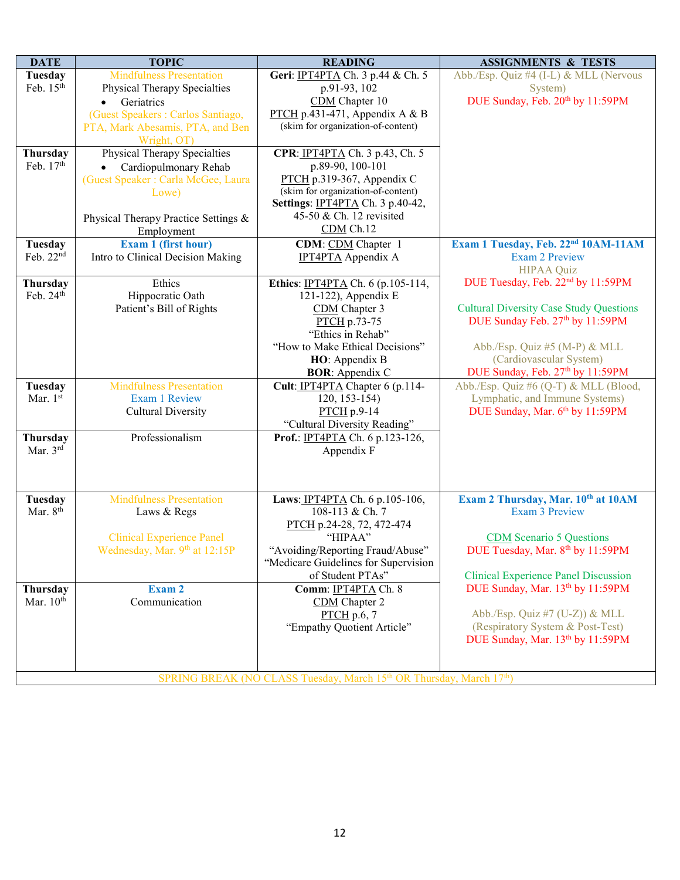| <b>DATE</b>           | <b>TOPIC</b>                         | <b>READING</b>                       | <b>ASSIGNMENTS &amp; TESTS</b>                  |
|-----------------------|--------------------------------------|--------------------------------------|-------------------------------------------------|
| <b>Tuesday</b>        | <b>Mindfulness Presentation</b>      | Geri: IPT4PTA Ch. 3 p.44 & Ch. 5     | Abb./Esp. Quiz #4 (I-L) & MLL (Nervous          |
| Feb. 15th             | Physical Therapy Specialties         | p.91-93, 102                         | System)                                         |
|                       | Geriatrics                           | CDM Chapter 10                       | DUE Sunday, Feb. 20th by 11:59PM                |
|                       | (Guest Speakers: Carlos Santiago,    | PTCH p.431-471, Appendix A & B       |                                                 |
|                       | PTA, Mark Abesamis, PTA, and Ben     | (skim for organization-of-content)   |                                                 |
|                       | Wright, OT)                          |                                      |                                                 |
| Thursday              | Physical Therapy Specialties         | CPR: IPT4PTA Ch. 3 p.43, Ch. 5       |                                                 |
| Feb. 17th             | Cardiopulmonary Rehab                | p.89-90, 100-101                     |                                                 |
|                       | (Guest Speaker: Carla McGee, Laura   | PTCH p.319-367, Appendix C           |                                                 |
|                       | Lowe)                                | (skim for organization-of-content)   |                                                 |
|                       |                                      | Settings: IPT4PTA Ch. 3 p.40-42,     |                                                 |
|                       | Physical Therapy Practice Settings & | 45-50 & Ch. 12 revisited             |                                                 |
|                       | Employment                           | $CDM$ Ch.12                          |                                                 |
| Tuesday               | Exam 1 (first hour)                  | CDM: CDM Chapter 1                   | Exam 1 Tuesday, Feb. 22 <sup>nd</sup> 10AM-11AM |
| Feb. 22nd             | Intro to Clinical Decision Making    | <b>IPT4PTA</b> Appendix A            | <b>Exam 2 Preview</b>                           |
|                       |                                      |                                      | <b>HIPAA Quiz</b>                               |
| Thursday              | Ethics                               | Ethics: IPT4PTA Ch. 6 (p.105-114,    | DUE Tuesday, Feb. 22 <sup>nd</sup> by 11:59PM   |
| Feb. 24th             | Hippocratic Oath                     | 121-122), Appendix E                 |                                                 |
|                       | Patient's Bill of Rights             | CDM Chapter 3                        | <b>Cultural Diversity Case Study Questions</b>  |
|                       |                                      | PTCH p.73-75                         | DUE Sunday Feb. 27th by 11:59PM                 |
|                       |                                      | "Ethics in Rehab"                    |                                                 |
|                       |                                      | "How to Make Ethical Decisions"      | Abb./Esp. Quiz #5 (M-P) & MLL                   |
|                       |                                      | HO: Appendix B                       | (Cardiovascular System)                         |
|                       |                                      | <b>BOR:</b> Appendix C               | DUE Sunday, Feb. 27th by 11:59PM                |
| Tuesday               | <b>Mindfulness Presentation</b>      | Cult: IPT4PTA Chapter 6 (p.114-      | Abb./Esp. Quiz #6 (Q-T) & MLL (Blood,           |
| Mar. 1st              | <b>Exam 1 Review</b>                 | $120, 153 - 154$                     | Lymphatic, and Immune Systems)                  |
|                       | <b>Cultural Diversity</b>            | PTCH p.9-14                          | DUE Sunday, Mar. 6th by 11:59PM                 |
|                       |                                      | "Cultural Diversity Reading"         |                                                 |
| Thursday              | Professionalism                      | Prof.: IPT4PTA Ch. 6 p.123-126,      |                                                 |
| Mar. 3rd              |                                      | Appendix F                           |                                                 |
|                       |                                      |                                      |                                                 |
|                       |                                      |                                      |                                                 |
|                       |                                      |                                      |                                                 |
| Tuesday               | <b>Mindfulness Presentation</b>      | Laws: IPT4PTA Ch. 6 p.105-106,       | Exam 2 Thursday, Mar. 10th at 10AM              |
| Mar. 8 <sup>th</sup>  | Laws & Regs                          | 108-113 & Ch. 7                      | <b>Exam 3 Preview</b>                           |
|                       |                                      | PTCH p.24-28, 72, 472-474            |                                                 |
|                       | <b>Clinical Experience Panel</b>     | "HIPAA"                              | <b>CDM</b> Scenario 5 Questions                 |
|                       | Wednesday, Mar. 9th at 12:15P        | "Avoiding/Reporting Fraud/Abuse"     | DUE Tuesday, Mar. 8th by 11:59PM                |
|                       |                                      | "Medicare Guidelines for Supervision |                                                 |
|                       |                                      | of Student PTAs"                     | <b>Clinical Experience Panel Discussion</b>     |
| Thursday              | Exam 2                               | Comm: IPT4PTA Ch. 8                  | DUE Sunday, Mar. 13th by 11:59PM                |
| Mar. 10 <sup>th</sup> | Communication                        | CDM Chapter 2                        |                                                 |
|                       |                                      | $PTCH$ p.6, 7                        | Abb./Esp. Quiz #7 (U-Z)) & MLL                  |
|                       |                                      | "Empathy Quotient Article"           | (Respiratory System & Post-Test)                |
|                       |                                      |                                      | DUE Sunday, Mar. 13th by 11:59PM                |
|                       |                                      |                                      |                                                 |
|                       |                                      |                                      |                                                 |
|                       |                                      |                                      |                                                 |

SPRING BREAK (NO CLASS Tuesday, March 15<sup>th</sup> OR Thursday, March 17<sup>th</sup>)